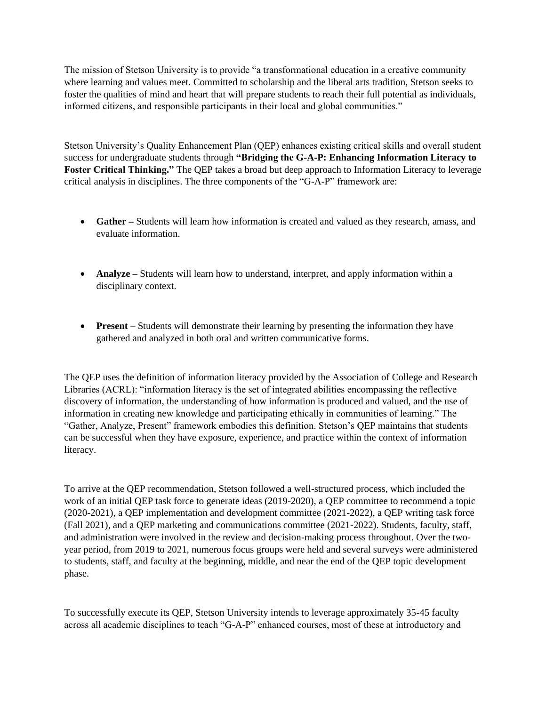The mission of Stetson University is to provide "a transformational education in a creative community where learning and values meet. Committed to scholarship and the liberal arts tradition, Stetson seeks to foster the qualities of mind and heart that will prepare students to reach their full potential as individuals, informed citizens, and responsible participants in their local and global communities."

Stetson University's Quality Enhancement Plan (QEP) enhances existing critical skills and overall student success for undergraduate students through **"Bridging the G-A-P: Enhancing Information Literacy to Foster Critical Thinking."** The QEP takes a broad but deep approach to Information Literacy to leverage critical analysis in disciplines. The three components of the "G-A-P" framework are:

- **Gather** Students will learn how information is created and valued as they research, amass, and evaluate information.
- **Analyze** Students will learn how to understand, interpret, and apply information within a disciplinary context.
- **Present** Students will demonstrate their learning by presenting the information they have gathered and analyzed in both oral and written communicative forms.

The QEP uses the definition of information literacy provided by the Association of College and Research Libraries (ACRL): "information literacy is the set of integrated abilities encompassing the reflective discovery of information, the understanding of how information is produced and valued, and the use of information in creating new knowledge and participating ethically in communities of learning." The "Gather, Analyze, Present" framework embodies this definition. Stetson's QEP maintains that students can be successful when they have exposure, experience, and practice within the context of information literacy.

To arrive at the QEP recommendation, Stetson followed a well-structured process, which included the work of an initial QEP task force to generate ideas (2019-2020), a QEP committee to recommend a topic (2020-2021), a QEP implementation and development committee (2021-2022), a QEP writing task force (Fall 2021), and a QEP marketing and communications committee (2021-2022). Students, faculty, staff, and administration were involved in the review and decision-making process throughout. Over the twoyear period, from 2019 to 2021, numerous focus groups were held and several surveys were administered to students, staff, and faculty at the beginning, middle, and near the end of the QEP topic development phase.

To successfully execute its QEP, Stetson University intends to leverage approximately 35-45 faculty across all academic disciplines to teach "G-A-P" enhanced courses, most of these at introductory and